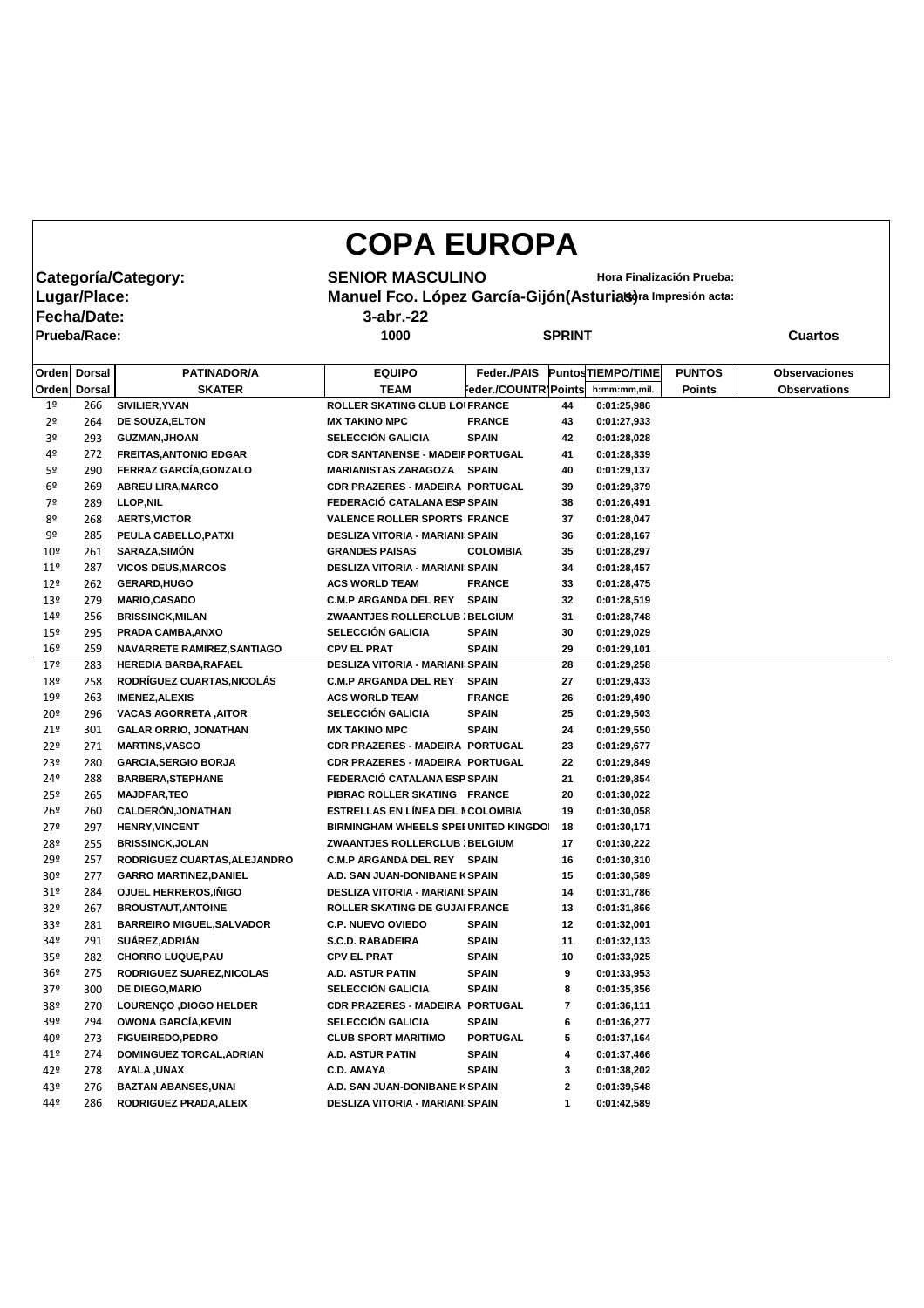## **COPA EUROPA**

**Fecha/Date: 3-abr.-22**

**Prueba/Race: 1000 SPRINT Cuartos**

**Categoría/Category: SENIOR MASCULINO** Hora Finalización Prueba:<br>|Lugar/Place: **Manuel Fco. López García-Gijón(Asturias)**ra Impresión acta: **Manuel Fco. López García-Gijón(Asturias)** ra Impresión acta:

|                 | Orden Dorsal | PATINADOR/A                      | <b>EQUIPO</b>                               | Feder./PAIS            |              | <b>PuntosTIEMPO/TIME</b> | <b>PUNTOS</b> | <b>Observaciones</b> |
|-----------------|--------------|----------------------------------|---------------------------------------------|------------------------|--------------|--------------------------|---------------|----------------------|
|                 | Orden Dorsal | <b>SKATER</b>                    | <b>TEAM</b>                                 | Feder./COUNTR   Points |              | h:mm:mm,mil.             | <b>Points</b> | <b>Observations</b>  |
| 1 <sup>o</sup>  | 266          | SIVILIER, YVAN                   | ROLLER SKATING CLUB LOIFRANCE               |                        | 44           | 0:01:25,986              |               |                      |
| 2 <sup>o</sup>  | 264          | DE SOUZA, ELTON                  | <b>MX TAKINO MPC</b>                        | <b>FRANCE</b>          | 43           | 0:01:27,933              |               |                      |
| 3º              | 293          | <b>GUZMAN, JHOAN</b>             | <b>SELECCIÓN GALICIA</b>                    | <b>SPAIN</b>           | 42           | 0:01:28,028              |               |                      |
| 4º              | 272          | <b>FREITAS, ANTONIO EDGAR</b>    | <b>CDR SANTANENSE - MADEIF PORTUGAL</b>     |                        | 41           | 0:01:28,339              |               |                      |
| 5 <sup>o</sup>  | 290          | FERRAZ GARCÍA, GONZALO           | MARIANISTAS ZARAGOZA SPAIN                  |                        | 40           | 0:01:29,137              |               |                      |
| 6º              | 269          | <b>ABREU LIRA, MARCO</b>         | <b>CDR PRAZERES - MADEIRA PORTUGAL</b>      |                        | 39           | 0:01:29,379              |               |                      |
| 7º              | 289          | <b>LLOP, NIL</b>                 | FEDERACIÓ CATALANA ESP SPAIN                |                        | 38           | 0:01:26,491              |               |                      |
| 8º              | 268          | <b>AERTS, VICTOR</b>             | <b>VALENCE ROLLER SPORTS FRANCE</b>         |                        | 37           | 0:01:28,047              |               |                      |
| 9º              | 285          | PEULA CABELLO, PATXI             | <b>DESLIZA VITORIA - MARIANI: SPAIN</b>     |                        | 36           | 0:01:28,167              |               |                      |
| 10 <sup>°</sup> | 261          | <b>SARAZA, SIMÓN</b>             | <b>GRANDES PAISAS</b>                       | <b>COLOMBIA</b>        | 35           | 0:01:28,297              |               |                      |
| 11 <sup>°</sup> | 287          | <b>VICOS DEUS, MARCOS</b>        | <b>DESLIZA VITORIA - MARIANI: SPAIN</b>     |                        | 34           | 0:01:28,457              |               |                      |
| $12^{\circ}$    | 262          | <b>GERARD, HUGO</b>              | <b>ACS WORLD TEAM</b>                       | <b>FRANCE</b>          | 33           | 0:01:28,475              |               |                      |
| 13º             | 279          | <b>MARIO, CASADO</b>             | <b>C.M.P ARGANDA DEL REY</b>                | <b>SPAIN</b>           | 32           | 0:01:28,519              |               |                      |
| 149             | 256          | <b>BRISSINCK, MILAN</b>          | ZWAANTJES ROLLERCLUB ; BELGIUM              |                        | 31           | 0:01:28,748              |               |                      |
| 15 <sup>°</sup> | 295          | <b>PRADA CAMBA, ANXO</b>         | <b>SELECCIÓN GALICIA</b>                    | <b>SPAIN</b>           | 30           | 0:01:29,029              |               |                      |
| 16 <sup>°</sup> | 259          | NAVARRETE RAMIREZ, SANTIAGO      | <b>CPV EL PRAT</b>                          | <b>SPAIN</b>           | 29           | 0:01:29,101              |               |                      |
| 179             | 283          | <b>HEREDIA BARBA, RAFAEL</b>     | <b>DESLIZA VITORIA - MARIANI: SPAIN</b>     |                        | 28           | 0:01:29,258              |               |                      |
| 18º             | 258          | RODRÍGUEZ CUARTAS, NICOLÁS       | <b>C.M.P ARGANDA DEL REY</b>                | <b>SPAIN</b>           | 27           | 0:01:29,433              |               |                      |
| 19º             | 263          | <b>IMENEZ, ALEXIS</b>            | <b>ACS WORLD TEAM</b>                       | <b>FRANCE</b>          | 26           | 0:01:29,490              |               |                      |
| 20 <sup>°</sup> | 296          | <b>VACAS AGORRETA, AITOR</b>     | <b>SELECCIÓN GALICIA</b>                    | <b>SPAIN</b>           | 25           | 0:01:29,503              |               |                      |
| 21°             | 301          | <b>GALAR ORRIO, JONATHAN</b>     | <b>MX TAKINO MPC</b>                        | <b>SPAIN</b>           | 24           | 0:01:29,550              |               |                      |
| 22°             | 271          | <b>MARTINS, VASCO</b>            | <b>CDR PRAZERES - MADEIRA PORTUGAL</b>      |                        | 23           | 0:01:29,677              |               |                      |
| 23º             | 280          | <b>GARCIA, SERGIO BORJA</b>      | <b>CDR PRAZERES - MADEIRA PORTUGAL</b>      |                        | 22           | 0:01:29,849              |               |                      |
| 24º             | 288          | <b>BARBERA, STEPHANE</b>         | FEDERACIÓ CATALANA ESP SPAIN                |                        | 21           | 0:01:29,854              |               |                      |
| 25º             | 265          | <b>MAJDFAR,TEO</b>               | PIBRAC ROLLER SKATING FRANCE                |                        | 20           | 0:01:30,022              |               |                      |
| 26 <sup>°</sup> | 260          | <b>CALDERÓN, JONATHAN</b>        | ESTRELLAS EN LÍNEA DEL NCOLOMBIA            |                        | 19           | 0:01:30,058              |               |                      |
| 279             | 297          | <b>HENRY, VINCENT</b>            | <b>BIRMINGHAM WHEELS SPEE UNITED KINGDO</b> |                        | 18           | 0:01:30,171              |               |                      |
| 28º             | 255          | <b>BRISSINCK, JOLAN</b>          | ZWAANTJES ROLLERCLUB ; BELGIUM              |                        | 17           | 0:01:30,222              |               |                      |
| 29º             | 257          | RODRÍGUEZ CUARTAS, ALEJANDRO     | <b>C.M.P ARGANDA DEL REY SPAIN</b>          |                        | 16           | 0:01:30,310              |               |                      |
| 30 <sup>°</sup> | 277          | <b>GARRO MARTINEZ, DANIEL</b>    | A.D. SAN JUAN-DONIBANE K SPAIN              |                        | 15           | 0:01:30,589              |               |                      |
| 31 <sup>o</sup> | 284          | OJUEL HERREROS, IÑIGO            | <b>DESLIZA VITORIA - MARIANI: SPAIN</b>     |                        | 14           | 0:01:31,786              |               |                      |
| 32 <sup>o</sup> | 267          | <b>BROUSTAUT, ANTOINE</b>        | ROLLER SKATING DE GUJAI FRANCE              |                        | 13           | 0:01:31,866              |               |                      |
| 33º             | 281          | <b>BARREIRO MIGUEL, SALVADOR</b> | <b>C.P. NUEVO OVIEDO</b>                    | <b>SPAIN</b>           | 12           | 0:01:32,001              |               |                      |
| 34º             | 291          | SUÁREZ, ADRIÁN                   | <b>S.C.D. RABADEIRA</b>                     | <b>SPAIN</b>           | 11           | 0:01:32,133              |               |                      |
| 35º             | 282          | <b>CHORRO LUQUE, PAU</b>         | <b>CPV EL PRAT</b>                          | <b>SPAIN</b>           | 10           | 0:01:33,925              |               |                      |
| 36 <sup>°</sup> | 275          | RODRIGUEZ SUAREZ, NICOLAS        | A.D. ASTUR PATIN                            | <b>SPAIN</b>           | 9            | 0:01:33,953              |               |                      |
| 37º             | 300          | <b>DE DIEGO, MARIO</b>           | <b>SELECCIÓN GALICIA</b>                    | <b>SPAIN</b>           | 8            | 0:01:35,356              |               |                      |
| 38º             | 270          | <b>LOURENÇO ,DIOGO HELDER</b>    | <b>CDR PRAZERES - MADEIRA</b>               | <b>PORTUGAL</b>        | 7            | 0:01:36,111              |               |                      |
| 39º             | 294          | <b>OWONA GARCÍA, KEVIN</b>       | <b>SELECCIÓN GALICIA</b>                    | <b>SPAIN</b>           | 6            | 0:01:36,277              |               |                      |
| 40º             | 273          | <b>FIGUEIREDO, PEDRO</b>         | <b>CLUB SPORT MARITIMO</b>                  | <b>PORTUGAL</b>        | 5            | 0:01:37,164              |               |                      |
| 41º             | 274          | <b>DOMINGUEZ TORCAL, ADRIAN</b>  | A.D. ASTUR PATIN                            | <b>SPAIN</b>           | 4            | 0:01:37,466              |               |                      |
| 42º             | 278          | <b>AYALA, UNAX</b>               | <b>C.D. AMAYA</b>                           | <b>SPAIN</b>           | 3            | 0:01:38,202              |               |                      |
| 43º             | 276          | <b>BAZTAN ABANSES, UNAI</b>      | A.D. SAN JUAN-DONIBANE K SPAIN              |                        | $\mathbf{2}$ | 0:01:39,548              |               |                      |
| 44º             | 286          | RODRIGUEZ PRADA, ALEIX           | <b>DESLIZA VITORIA - MARIANI: SPAIN</b>     |                        | 1            | 0:01:42,589              |               |                      |